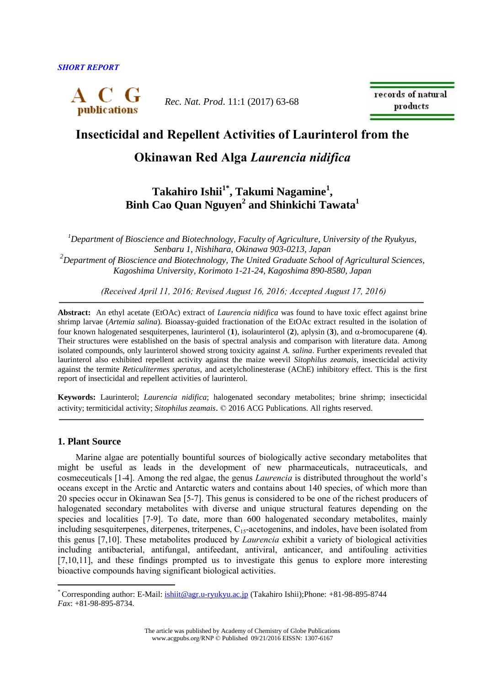

*Rec. Nat. Prod*. 11:1 (2017) 63-68

records of natural products

## **Insecticidal and Repellent Activities of Laurinterol from the**

# **Okinawan Red Alga** *Laurencia nidifica*

# **Takahiro Ishii1\* , Takumi Nagamine<sup>1</sup> , Binh Cao Quan Nguyen<sup>2</sup> and Shinkichi Tawata<sup>1</sup>**

*<sup>1</sup>Department of Bioscience and Biotechnology, Faculty of Agriculture, University of the Ryukyus, Senbaru 1, Nishihara, Okinawa 903-0213, Japan <sup>2</sup>Department of Bioscience and Biotechnology, The United Graduate School of Agricultural Sciences, Kagoshima University, Korimoto 1-21-24, Kagoshima 890-8580, Japan*

*(Received April 11, 2016; Revised August 16, 2016; Accepted August 17, 2016)*

**Abstract:** An ethyl acetate (EtOAc) extract of *Laurencia nidifica* was found to have toxic effect against brine shrimp larvae (*Artemia salina*). Bioassay-guided fractionation of the EtOAc extract resulted in the isolation of four known halogenated sesquiterpenes, laurinterol  $(1)$ , isolaurinterol  $(2)$ , aplysin  $(3)$ , and  $\alpha$ -bromocuparene  $(4)$ . Their structures were established on the basis of spectral analysis and comparison with literature data. Among isolated compounds, only laurinterol showed strong toxicity against *A. salina*. Further experiments revealed that laurinterol also exhibited repellent activity against the maize weevil *Sitophilus zeamais*, insecticidal activity against the termite *Reticulitermes speratus*, and acetylcholinesterase (AChE) inhibitory effect. This is the first report of insecticidal and repellent activities of laurinterol.

**Keywords:** Laurinterol; *Laurencia nidifica*; halogenated secondary metabolites; brine shrimp; insecticidal activity; termiticidal activity; *Sitophilus zeamais*. © 2016 ACG Publications. All rights reserved.

#### **1. Plant Source**

 $\overline{a}$ 

Marine algae are potentially bountiful sources of biologically active secondary metabolites that might be useful as leads in the development of new pharmaceuticals, nutraceuticals, and cosmeceuticals [1-4]. Among the red algae, the genus *Laurencia* is distributed throughout the world's oceans except in the Arctic and Antarctic waters and contains about 140 species, of which more than 20 species occur in Okinawan Sea [5-7]. This genus is considered to be one of the richest producers of halogenated secondary metabolites with diverse and unique structural features depending on the species and localities [7-9]. To date, more than 600 halogenated secondary metabolites, mainly including sesquiterpenes, diterpenes, triterpenes, C<sub>15</sub>-acetogenins, and indoles, have been isolated from this genus [7,10]. These metabolites produced by *Laurencia* exhibit a variety of biological activities including antibacterial, antifungal, antifeedant, antiviral, anticancer, and antifouling activities [7,10,11], and these findings prompted us to investigate this genus to explore more interesting bioactive compounds having significant biological activities.

<sup>\*</sup> Corresponding author: E-Mail: [ishiit@agr.u-ryukyu.ac.jp](mailto:ishiit@agr.u-ryukyu.ac.jp) (Takahiro Ishii);Phone: +81-98-895-8744 *Fax*: +81-98-895-8734.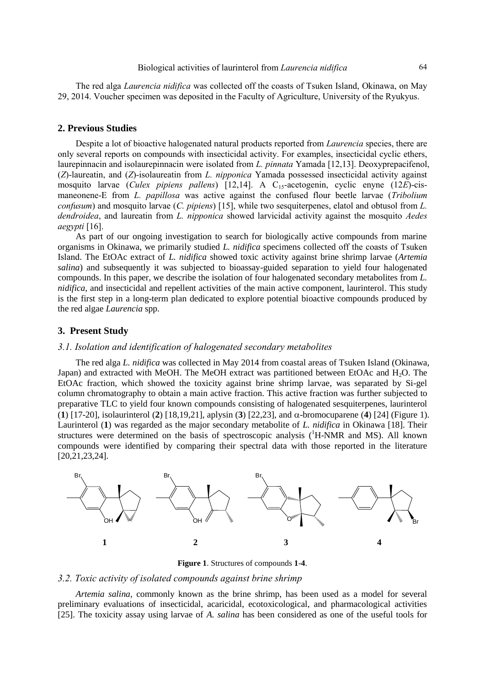The red alga *Laurencia nidifica* was collected off the coasts of Tsuken Island, Okinawa, on May 29, 2014. Voucher specimen was deposited in the Faculty of Agriculture, University of the Ryukyus.

#### **2. Previous Studies**

Despite a lot of bioactive halogenated natural products reported from *Laurencia* species, there are only several reports on compounds with insecticidal activity. For examples, insecticidal cyclic ethers, laurepinnacin and isolaurepinnacin were isolated from *L. pinnata* Yamada [12,13]. Deoxyprepacifenol, (*Z*)-laureatin, and (*Z*)-isolaureatin from *L. nipponica* Yamada possessed insecticidal activity against mosquito larvae (*Culex pipiens pallens*) [12,14]. A C<sub>15</sub>-acetogenin, cyclic enyne (12*E*)-cismaneonene-E from *L. papillosa* was active against the confused flour beetle larvae (*Tribolium confusum*) and mosquito larvae (*C. pipiens*) [15], while two sesquiterpenes, elatol and obtusol from *L. dendroidea*, and laureatin from *L. nipponica* showed larvicidal activity against the mosquito *Aedes aegypti* [16].

As part of our ongoing investigation to search for biologically active compounds from marine organisms in Okinawa, we primarily studied *L. nidifica* specimens collected off the coasts of Tsuken Island. The EtOAc extract of *L. nidifica* showed toxic activity against brine shrimp larvae (*Artemia salina*) and subsequently it was subjected to bioassay-guided separation to yield four halogenated compounds. In this paper, we describe the isolation of four halogenated secondary metabolites from *L. nidifica*, and insecticidal and repellent activities of the main active component, laurinterol. This study is the first step in a long-term plan dedicated to explore potential bioactive compounds produced by the red algae *Laurencia* spp.

#### **3. Present Study**

#### *3.1. Isolation and identification of halogenated secondary metabolites*

The red alga *L. nidifica* was collected in May 2014 from coastal areas of Tsuken Island (Okinawa, Japan) and extracted with MeOH. The MeOH extract was partitioned between EtOAc and H2O. The EtOAc fraction, which showed the toxicity against brine shrimp larvae, was separated by Si-gel column chromatography to obtain a main active fraction. This active fraction was further subjected to preparative TLC to yield four known compounds consisting of halogenated sesquiterpenes, laurinterol (**1**) [17-20], isolaurinterol (**2**) [18,19,21], aplysin (**3**) [22,23], and  $\alpha$ -bromocuparene (**4**) [24] (Figure 1). Laurinterol (**1**) was regarded as the major secondary metabolite of *L. nidifica* in Okinawa [18]. Their structures were determined on the basis of spectroscopic analysis (<sup>1</sup>H-NMR and MS). All known compounds were identified by comparing their spectral data with those reported in the literature [20,21,23,24].



**Figure 1**. Structures of compounds **1**-**4**.

#### *3.2. Toxic activity of isolated compounds against brine shrimp*

*Artemia salina*, commonly known as the brine shrimp, has been used as a model for several preliminary evaluations of insecticidal, acaricidal, ecotoxicological, and pharmacological activities [25]. The toxicity assay using larvae of *A. salina* has been considered as one of the useful tools for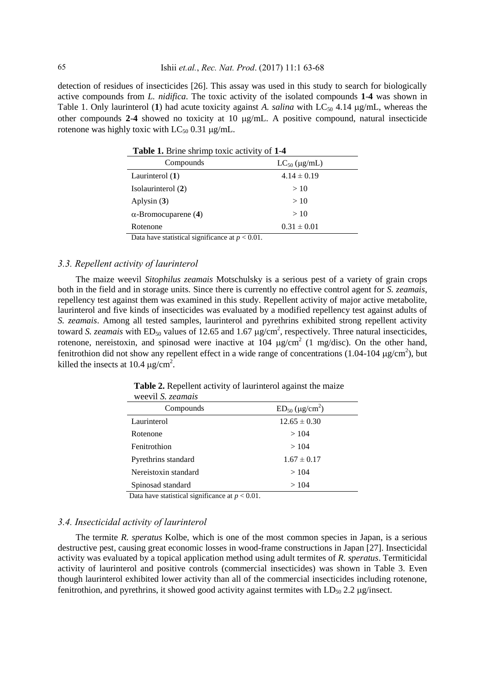detection of residues of insecticides [26]. This assay was used in this study to search for biologically active compounds from *L. nidifica*. The toxic activity of the isolated compounds **1**-**4** was shown in Table 1. Only laurinterol (1) had acute toxicity against A. salina with  $LC_{50}$  4.14  $\mu$ g/mL, whereas the other compounds 2-4 showed no toxicity at 10  $\mu$ g/mL. A positive compound, natural insecticide rotenone was highly toxic with  $LC_{50}$  0.31  $\mu$ g/mL.

| Compounds                                        | $LC_{50}$ (µg/mL) |  |
|--------------------------------------------------|-------------------|--|
| Laurinterol $(1)$                                | $4.14 \pm 0.19$   |  |
| Isolaurinterol (2)                               | >10               |  |
| Aplysin $(3)$                                    | >10               |  |
| $\alpha$ -Bromocuparene (4)                      | >10               |  |
| Rotenone                                         | $0.31 \pm 0.01$   |  |
| Data have statistical significance at $n < 0.01$ |                   |  |

Data have statistical significance at  $p < 0.01$ .

#### *3.3. Repellent activity of laurinterol*

The maize weevil *Sitophilus zeamais* Motschulsky is a serious pest of a variety of grain crops both in the field and in storage units. Since there is currently no effective control agent for *S. zeamais*, repellency test against them was examined in this study. Repellent activity of major active metabolite, laurinterol and five kinds of insecticides was evaluated by a modified repellency test against adults of *S. zeamais*. Among all tested samples, laurinterol and pyrethrins exhibited strong repellent activity toward *S. zeamais* with  $ED_{50}$  values of 12.65 and 1.67  $\mu$ g/cm<sup>2</sup>, respectively. Three natural insecticides, rotenone, nereistoxin, and spinosad were inactive at 104  $\mu$ g/cm<sup>2</sup> (1 mg/disc). On the other hand, fenitrothion did not show any repellent effect in a wide range of concentrations (1.04-104  $\mu$ g/cm<sup>2</sup>), but killed the insects at 10.4  $\mu$ g/cm<sup>2</sup>.

| $\cdots$ co $\cdots$ if $\cdots$ . The contract $\cdots$ |                        |
|----------------------------------------------------------|------------------------|
| Compounds                                                | $ED_{50} (\mu g/cm^2)$ |
| Laurinterol                                              | $12.65 \pm 0.30$       |
| Rotenone                                                 | >104                   |
| Fenitrothion                                             | >104                   |
| Pyrethrins standard                                      | $1.67 \pm 0.17$        |
| Nereistoxin standard                                     | >104                   |
| Spinosad standard                                        | >104                   |
|                                                          |                        |

 **Table 2.** Repellent activity of laurinterol against the maize weevil *S. zeamais*

Data have statistical significance at *p* < 0.01.

#### *3.4. Insecticidal activity of laurinterol*

The termite *R. speratus* Kolbe, which is one of the most common species in Japan, is a serious destructive pest, causing great economic losses in wood-frame constructions in Japan [27]. Insecticidal activity was evaluated by a topical application method using adult termites of *R. speratus*. Termiticidal activity of laurinterol and positive controls (commercial insecticides) was shown in Table 3. Even though laurinterol exhibited lower activity than all of the commercial insecticides including rotenone, fenitrothion, and pyrethrins, it showed good activity against termites with  $LD_{50}$  2.2  $\mu$ g/insect.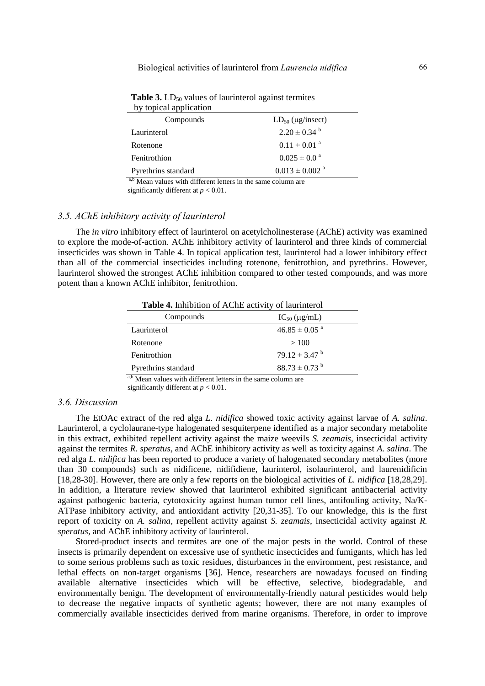| Compounds                                                                                                                                                                                                                                | $LD_{50}$ ( $\mu$ g/insect)    |  |
|------------------------------------------------------------------------------------------------------------------------------------------------------------------------------------------------------------------------------------------|--------------------------------|--|
| Laurinterol                                                                                                                                                                                                                              | $2.20 \pm 0.34$ <sup>b</sup>   |  |
| Rotenone                                                                                                                                                                                                                                 | $0.11 \pm 0.01$ <sup>a</sup>   |  |
| Fenitrothion                                                                                                                                                                                                                             | $0.025 \pm 0.0^{\circ}$        |  |
| Pyrethrins standard                                                                                                                                                                                                                      | $0.013 \pm 0.002$ <sup>a</sup> |  |
| $a,b \lambda f$ , and $a,b,c$ and $f$ if $f$ and $f$ and $f$ and $f$ and $f$ and $f$ and $f$ and $f$ and $f$ and $f$ and $f$ and $f$ and $f$ and $f$ and $f$ and $f$ and $f$ and $f$ and $f$ and $f$ and $f$ and $f$ and $f$ and $f$ and |                                |  |

**Table 3.**  $LD_{50}$  values of laurinterol against termites by topical application

Mean values with different letters in the same column are significantly different at *p* < 0.01.

### *3.5. AChE inhibitory activity of laurinterol*

The *in vitro* inhibitory effect of laurinterol on acetylcholinesterase (AChE) activity was examined to explore the mode-of-action. AChE inhibitory activity of laurinterol and three kinds of commercial insecticides was shown in Table 4. In topical application test, laurinterol had a lower inhibitory effect than all of the commercial insecticides including rotenone, fenitrothion, and pyrethrins. However, laurinterol showed the strongest AChE inhibition compared to other tested compounds, and was more potent than a known AChE inhibitor, fenitrothion.

| Table 4. Inhibition of AChE activity of laurinterol |                               |  |
|-----------------------------------------------------|-------------------------------|--|
| Compounds                                           | $IC_{50}$ (µg/mL)             |  |
| Laurinterol                                         | $46.85 \pm 0.05$ <sup>a</sup> |  |
| Rotenone                                            | >100                          |  |
| Fenitrothion                                        | $79.12 \pm 3.47$ <sup>b</sup> |  |
| Pyrethrins standard<br>$\overline{a}$               | $88.73 \pm 0.73$ <sup>b</sup> |  |

a,b Mean values with different letters in the same column are significantly different at *p* < 0.01.

#### *3.6. Discussion*

The EtOAc extract of the red alga *L. nidifica* showed toxic activity against larvae of *A. salina*. Laurinterol, a cyclolaurane-type halogenated sesquiterpene identified as a major secondary metabolite in this extract, exhibited repellent activity against the maize weevils *S. zeamais*, insecticidal activity against the termites *R. speratus*, and AChE inhibitory activity as well as toxicity against *A. salina*. The red alga *L. nidifica* has been reported to produce a variety of halogenated secondary metabolites (more than 30 compounds) such as nidificene, nidifidiene, laurinterol, isolaurinterol, and laurenidificin [18,28-30]. However, there are only a few reports on the biological activities of *L. nidifica* [18,28,29]. In addition, a literature review showed that laurinterol exhibited significant antibacterial activity against pathogenic bacteria, cytotoxicity against human tumor cell lines, antifouling activity, Na/K-ATPase inhibitory activity, and antioxidant activity [20,31-35]. To our knowledge, this is the first report of toxicity on *A. salina*, repellent activity against *S. zeamais*, insecticidal activity against *R. speratus*, and AChE inhibitory activity of laurinterol.

Stored-product insects and termites are one of the major pests in the world. Control of these insects is primarily dependent on excessive use of synthetic insecticides and fumigants, which has led to some serious problems such as toxic residues, disturbances in the environment, pest resistance, and lethal effects on non-target organisms [36]. Hence, researchers are nowadays focused on finding available alternative insecticides which will be effective, selective, biodegradable, and environmentally benign. The development of environmentally-friendly natural pesticides would help to decrease the negative impacts of synthetic agents; however, there are not many examples of commercially available insecticides derived from marine organisms. Therefore, in order to improve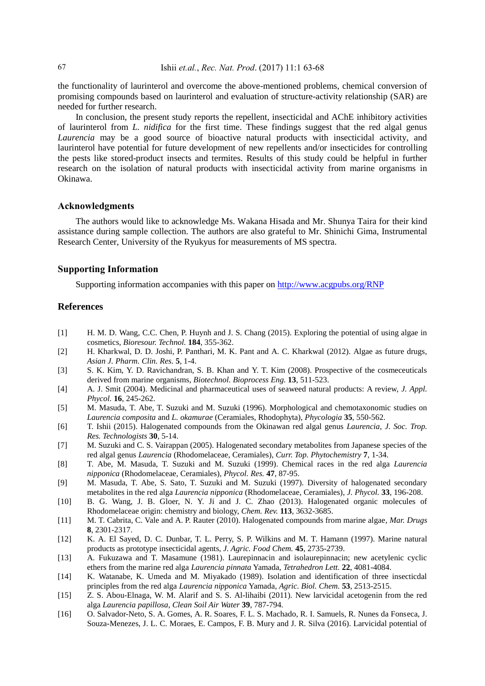the functionality of laurinterol and overcome the above-mentioned problems, chemical conversion of promising compounds based on laurinterol and evaluation of structure-activity relationship (SAR) are needed for further research.

In conclusion, the present study reports the repellent, insecticidal and AChE inhibitory activities of laurinterol from *L. nidifica* for the first time. These findings suggest that the red algal genus *Laurencia* may be a good source of bioactive natural products with insecticidal activity, and laurinterol have potential for future development of new repellents and/or insecticides for controlling the pests like stored-product insects and termites. Results of this study could be helpful in further research on the isolation of natural products with insecticidal activity from marine organisms in Okinawa.

## **Acknowledgments**

The authors would like to acknowledge Ms. Wakana Hisada and Mr. Shunya Taira for their kind assistance during sample collection. The authors are also grateful to Mr. Shinichi Gima, Instrumental Research Center, University of the Ryukyus for measurements of MS spectra.

#### **Supporting Information**

Supporting information accompanies with this paper on<http://www.acgpubs.org/RNP>

### **References**

- [1] H. M. D. Wang, C.C. Chen, P. Huynh and J. S. Chang (2015). Exploring the potential of using algae in cosmetics, *Bioresour. Technol.* **184**, 355-362.
- [2] H. Kharkwal, D. D. Joshi, P. Panthari, M. K. Pant and A. C. Kharkwal (2012). Algae as future drugs, *Asian J. Pharm. Clin. Res.* **5**, 1-4.
- [3] S. K. Kim, Y. D. Ravichandran, S. B. Khan and Y. T. Kim (2008). Prospective of the cosmeceuticals derived from marine organisms, *Biotechnol. Bioprocess Eng.* **13**, 511-523.
- [4] A. J. Smit (2004). Medicinal and pharmaceutical uses of seaweed natural products: A review, *J. Appl. Phycol.* **16**, 245-262.
- [5] M. Masuda, T. Abe, T. Suzuki and M. Suzuki (1996). Morphological and chemotaxonomic studies on *Laurencia composita* and *L. okamurae* (Ceramiales, Rhodophyta), *Phycologia* **35**, 550-562.
- [6] T. Ishii (2015). Halogenated compounds from the Okinawan red algal genus *Laurencia*, *J. Soc. Trop. Res. Technologists* **30**, 5-14.
- [7] M. Suzuki and C. S. Vairappan (2005). Halogenated secondary metabolites from Japanese species of the red algal genus *Laurencia* (Rhodomelaceae, Ceramiales), *Curr. Top. Phytochemistry* **7**, 1-34.
- [8] T. Abe, M. Masuda, T. Suzuki and M. Suzuki (1999). Chemical races in the red alga *Laurencia nipponica* (Rhodomelaceae, Ceramiales), *Phycol. Res.* **47**, 87-95.
- [9] M. Masuda, T. Abe, S. Sato, T. Suzuki and M. Suzuki (1997). Diversity of halogenated secondary metabolites in the red alga *Laurencia nipponica* (Rhodomelaceae, Ceramiales), *J. Phycol.* **33**, 196-208.
- [10] B. G. Wang, J. B. Gloer, N. Y. Ji and J. C. Zhao (2013). Halogenated organic molecules of Rhodomelaceae origin: chemistry and biology, *Chem. Rev.* **113**, 3632-3685.
- [11] M. T. Cabrita, C. Vale and A. P. Rauter (2010). Halogenated compounds from marine algae, *Mar. Drugs* **8**, 2301-2317.
- [12] K. A. El Sayed, D. C. Dunbar, T. L. Perry, S. P. Wilkins and M. T. Hamann (1997). Marine natural products as prototype insecticidal agents, *J. Agric. Food Chem.* **45**, 2735-2739.
- [13] A. Fukuzawa and T. Masamune (1981). Laurepinnacin and isolaurepinnacin; new acetylenic cyclic ethers from the marine red alga *Laurencia pinnata* Yamada, *Tetrahedron Lett.* **22**, 4081-4084.
- [14] K. Watanabe, K. Umeda and M. Miyakado (1989). Isolation and identification of three insecticdal principles from the red alga *Laurencia nipponica* Yamada, *Agric. Biol. Chem.* **53**, 2513-2515.
- [15] Z. S. Abou-Elnaga, W. M. Alarif and S. S. Al-lihaibi (2011). New larvicidal acetogenin from the red alga *Laurencia papillosa*, *Clean Soil Air Water* **39**, 787-794.
- [16] O. Salvador-Neto, S. A. Gomes, A. R. Soares, F. L. S. Machado, R. I. Samuels, R. Nunes da Fonseca, J. Souza-Menezes, J. L. C. Moraes, E. Campos, F. B. Mury and J. R. Silva (2016). Larvicidal potential of